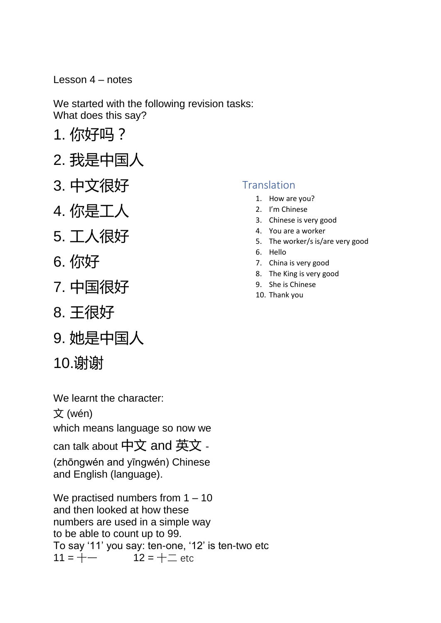Lesson 4 – notes

We started with the following revision tasks: What does this say?

- 1. 你好吗?
- 2. 我是中国人
- 3. 中文很好
- 4. 你是工人
- 5. 工人很好
- 6. 你好
- 7. 中国很好
- 8. 王很好
- 9. 她是中国人
- 10.谢谢

We learnt the character:

文 (wén)

which means language so now we

can talk about 中文 and 英文 -

(zhōngwén and yīngwén) Chinese and English (language).

We practised numbers from 1 – 10 and then looked at how these numbers are used in a simple way to be able to count up to 99. To say '11' you say: ten-one, '12' is ten-two etc  $11 = + 12 = + -$  etc

## **Translation**

- 1. How are you?
- 2. I'm Chinese
- 3. Chinese is very good
- 4. You are a worker
- 5. The worker/s is/are very good
- 6. Hello
- 7. China is very good
- 8. The King is very good
- 9. She is Chinese
- 10. Thank you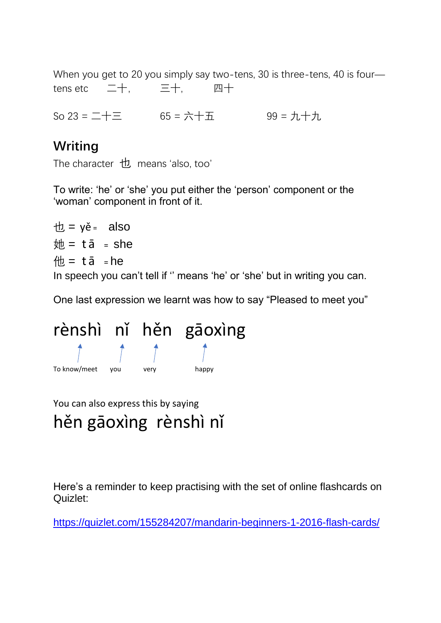When you get to 20 you simply say two-tens, 30 is three-tens, 40 is fourtens etc 二十, 三十, 四十

So 23 = 二十三 65 = 六十五 99 = 九十九

## **Writing**

The character 也 means 'also, too'

To write: 'he' or 'she' you put either the 'person' component or the 'woman' component in front of it.

 $\theta$  = ye = also  $\theta = \tan^{-1} \theta$  = she  $m = t\bar{a}$  = he In speech you can't tell if '' means 'he' or 'she' but in writing you can.

One last expression we learnt was how to say "Pleased to meet you"



You can also express this by saying hěn gāoxìng rènshì nǐ

Here's a reminder to keep practising with the set of online flashcards on Quizlet:

<https://quizlet.com/155284207/mandarin-beginners-1-2016-flash-cards/>